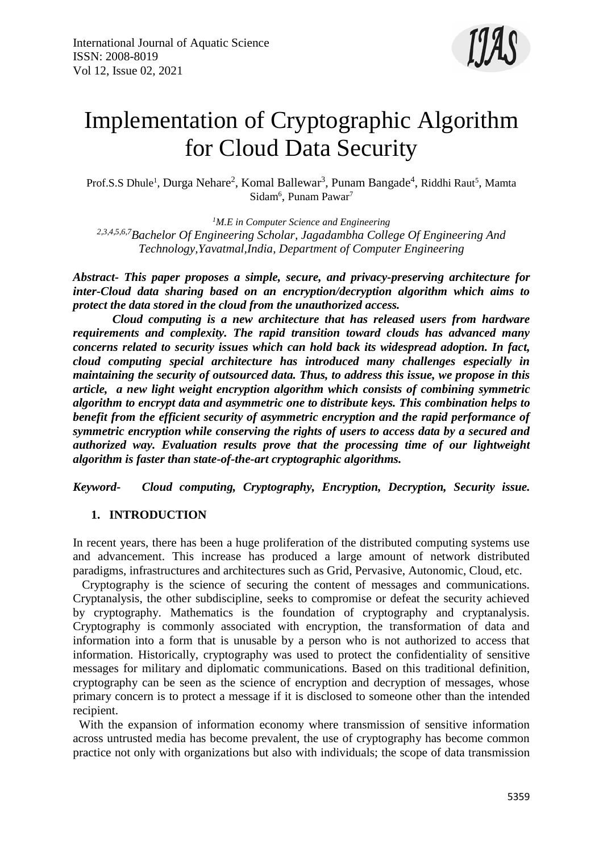

# Implementation of Cryptographic Algorithm for Cloud Data Security

Prof.S.S Dhule<sup>1</sup>, Durga Nehare<sup>2</sup>, Komal Ballewar<sup>3</sup>, Punam Bangade<sup>4</sup>, Riddhi Raut<sup>5</sup>, Mamta Sidam<sup>6</sup>, Punam Pawar<sup>7</sup>

*<sup>1</sup>M.E in Computer Science and Engineering 2,3,4,5,6,7Bachelor Of Engineering Scholar, Jagadambha College Of Engineering And Technology,Yavatmal,India, Department of Computer Engineering*

*Abstract- This paper proposes a simple, secure, and privacy-preserving architecture for inter-Cloud data sharing based on an encryption/decryption algorithm which aims to protect the data stored in the cloud from the unauthorized access.*

 *Cloud computing is a new architecture that has released users from hardware requirements and complexity. The rapid transition toward clouds has advanced many concerns related to security issues which can hold back its widespread adoption. In fact, cloud computing special architecture has introduced many challenges especially in maintaining the security of outsourced data. Thus, to address this issue, we propose in this article, a new light weight encryption algorithm which consists of combining symmetric algorithm to encrypt data and asymmetric one to distribute keys. This combination helps to benefit from the efficient security of asymmetric encryption and the rapid performance of symmetric encryption while conserving the rights of users to access data by a secured and authorized way. Evaluation results prove that the processing time of our lightweight algorithm is faster than state-of-the-art cryptographic algorithms.*

*Keyword- Cloud computing, Cryptography, Encryption, Decryption, Security issue.* 

# **1. INTRODUCTION**

In recent years, there has been a huge proliferation of the distributed computing systems use and advancement. This increase has produced a large amount of network distributed paradigms, infrastructures and architectures such as Grid, Pervasive, Autonomic, Cloud, etc.

 Cryptography is the science of securing the content of messages and communications. Cryptanalysis, the other subdiscipline, seeks to compromise or defeat the security achieved by cryptography. Mathematics is the foundation of cryptography and cryptanalysis. Cryptography is commonly associated with encryption, the transformation of data and information into a form that is unusable by a person who is not authorized to access that information. Historically, cryptography was used to protect the confidentiality of sensitive messages for military and diplomatic communications. Based on this traditional definition, cryptography can be seen as the science of encryption and decryption of messages, whose primary concern is to protect a message if it is disclosed to someone other than the intended recipient.

 With the expansion of information economy where transmission of sensitive information across untrusted media has become prevalent, the use of cryptography has become common practice not only with organizations but also with individuals; the scope of data transmission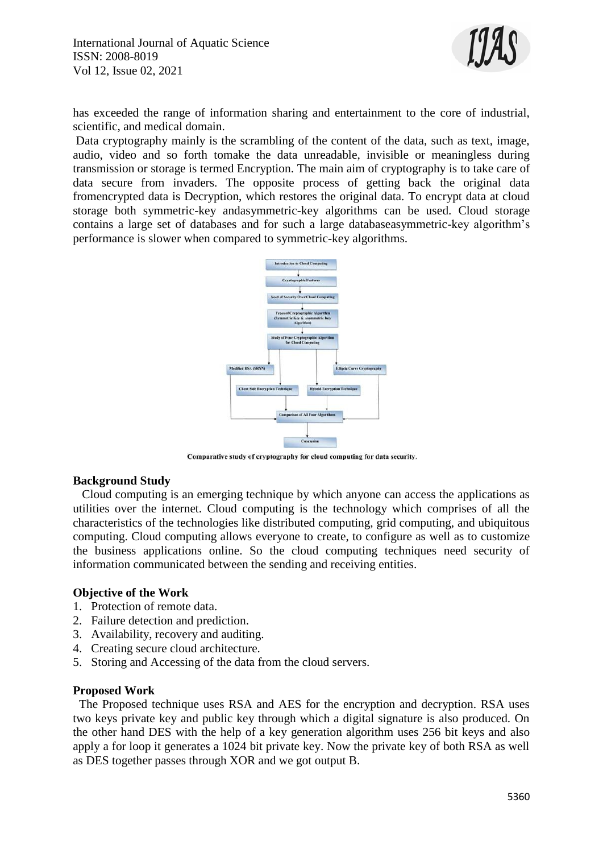

has exceeded the range of information sharing and entertainment to the core of industrial, scientific, and medical domain.

Data cryptography mainly is the scrambling of the content of the data, such as text, image, audio, video and so forth tomake the data unreadable, invisible or meaningless during transmission or storage is termed Encryption. The main aim of cryptography is to take care of data secure from invaders. The opposite process of getting back the original data fromencrypted data is Decryption, which restores the original data. To encrypt data at cloud storage both symmetric-key andasymmetric-key algorithms can be used. Cloud storage contains a large set of databases and for such a large databaseasymmetric-key algorithm's performance is slower when compared to symmetric-key algorithms.



Comparative study of cryptography for cloud computing for data security.

#### **Background Study**

 Cloud computing is an emerging technique by which anyone can access the applications as utilities over the internet. Cloud computing is the technology which comprises of all the characteristics of the technologies like distributed computing, grid computing, and ubiquitous computing. Cloud computing allows everyone to create, to configure as well as to customize the business applications online. So the cloud computing techniques need security of information communicated between the sending and receiving entities.

#### **Objective of the Work**

- 1. Protection of remote data.
- 2. Failure detection and prediction.
- 3. Availability, recovery and auditing.
- 4. Creating secure cloud architecture.
- 5. Storing and Accessing of the data from the cloud servers.

#### **Proposed Work**

 The Proposed technique uses RSA and AES for the encryption and decryption. RSA uses two keys private key and public key through which a digital signature is also produced. On the other hand DES with the help of a key generation algorithm uses 256 bit keys and also apply a for loop it generates a 1024 bit private key. Now the private key of both RSA as well as DES together passes through XOR and we got output B.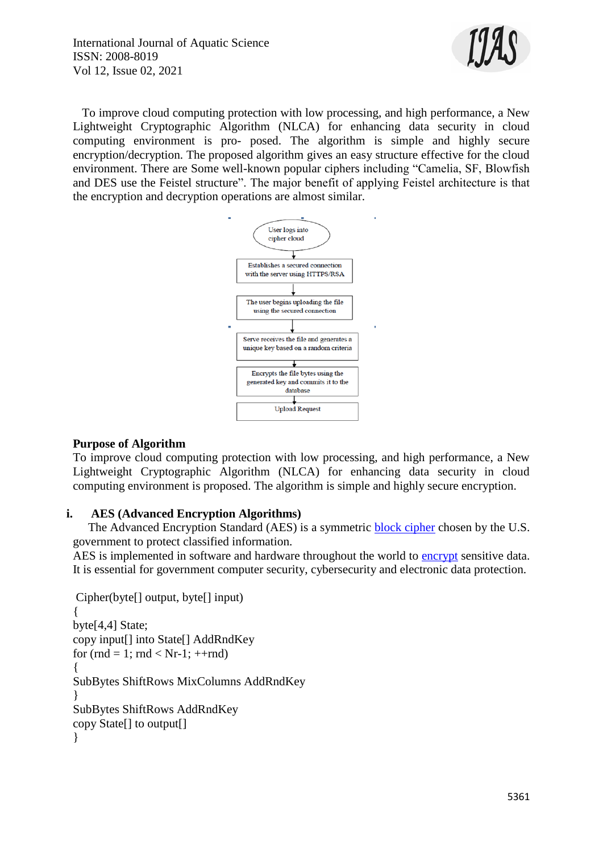International Journal of Aquatic Science ISSN: 2008-8019 Vol 12, Issue 02, 2021



 To improve cloud computing protection with low processing, and high performance, a New Lightweight Cryptographic Algorithm (NLCA) for enhancing data security in cloud computing environment is pro- posed. The algorithm is simple and highly secure encryption/decryption. The proposed algorithm gives an easy structure effective for the cloud environment. There are Some well-known popular ciphers including "Camelia, SF, Blowfish and DES use the Feistel structure". The major benefit of applying Feistel architecture is that the encryption and decryption operations are almost similar.



#### **Purpose of Algorithm**

To improve cloud computing protection with low processing, and high performance, a New Lightweight Cryptographic Algorithm (NLCA) for enhancing data security in cloud computing environment is proposed. The algorithm is simple and highly secure encryption.

#### **i. AES (Advanced Encryption Algorithms)**

 The Advanced Encryption Standard (AES) is a symmetric [block cipher](https://www.techtarget.com/searchsecurity/definition/block-cipher) chosen by the U.S. government to protect classified information.

AES is implemented in software and hardware throughout the world to [encrypt](https://www.techtarget.com/searchsecurity/definition/encryption) sensitive data. It is essential for government computer security, cybersecurity and electronic data protection.

```
Cipher(byte[] output, byte[] input)
{
byte[4,4] State;
copy input[] into State[] AddRndKey
for (rnd = 1; rnd < Nr-1; ++rnd)
{
SubBytes ShiftRows MixColumns AddRndKey
}
SubBytes ShiftRows AddRndKey
copy State[] to output[]
}
```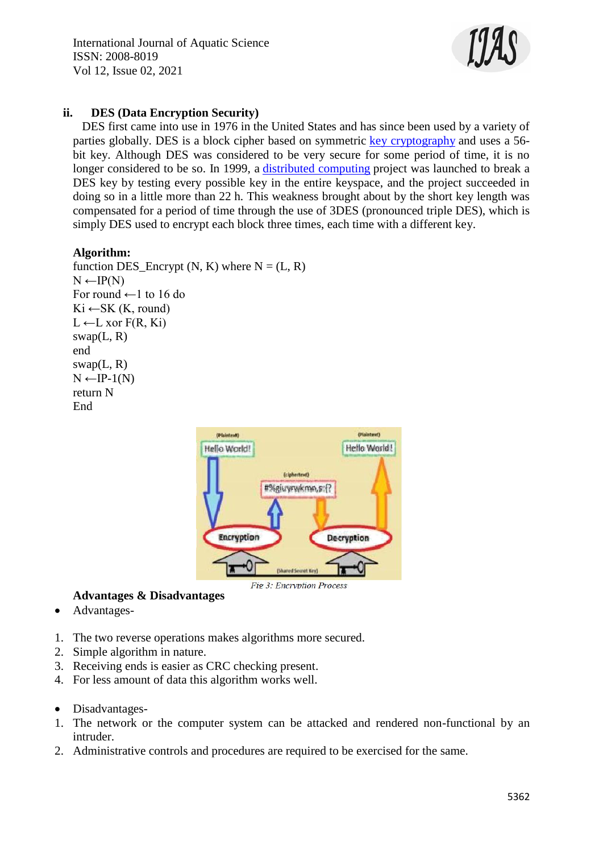International Journal of Aquatic Science ISSN: 2008-8019 Vol 12, Issue 02, 2021



### **ii. DES (Data Encryption Security)**

 DES first came into use in 1976 in the United States and has since been used by a variety of parties globally. DES is a block cipher based on symmetric [key cryptography](https://www.sciencedirect.com/topics/computer-science/key-cryptography) and uses a 56 bit key. Although DES was considered to be very secure for some period of time, it is no longer considered to be so. In 1999, a [distributed computing](https://www.sciencedirect.com/topics/computer-science/distributed-computing) project was launched to break a DES key by testing every possible key in the entire keyspace, and the project succeeded in doing so in a little more than 22 h. This weakness brought about by the short key length was compensated for a period of time through the use of 3DES (pronounced triple DES), which is simply DES used to encrypt each block three times, each time with a different key.

#### **Algorithm:**

function DES\_Encrypt  $(N, K)$  where  $N = (L, R)$  $N \leftarrow IP(N)$ For round  $\leftarrow$ 1 to 16 do  $Ki \leftarrow SK(K, round)$  $L \leftarrow L$  xor  $F(R, Ki)$  $swap(L, R)$ end  $swap(L, R)$  $N \leftarrow IP-1(N)$ return N End



# **Advantages & Disadvantages**

- Advantages-
- 1. The two reverse operations makes algorithms more secured.
- 2. Simple algorithm in nature.
- 3. Receiving ends is easier as CRC checking present.
- 4. For less amount of data this algorithm works well.
- Disadvantages-
- 1. The network or the computer system can be attacked and rendered non-functional by an intruder.
- 2. Administrative controls and procedures are required to be exercised for the same.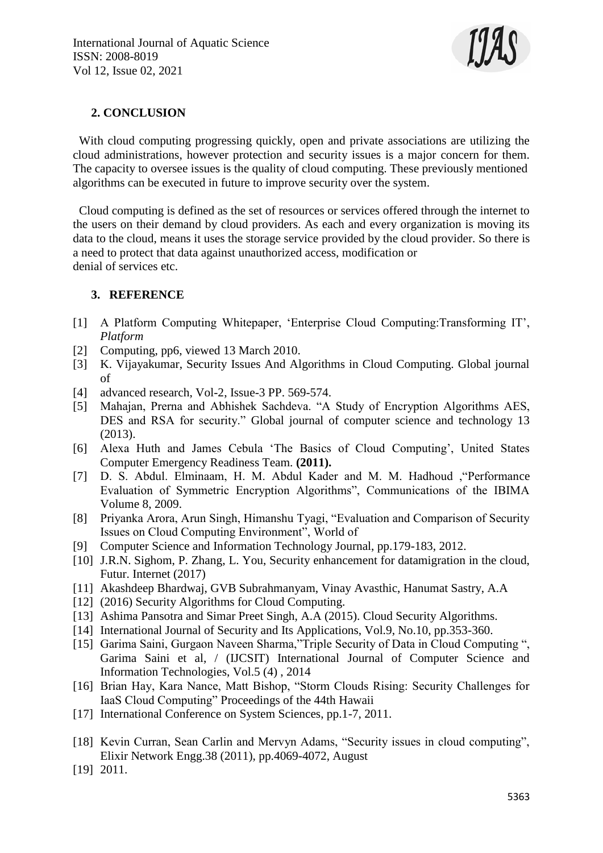

# **2. CONCLUSION**

With cloud computing progressing quickly, open and private associations are utilizing the cloud administrations, however protection and security issues is a major concern for them. The capacity to oversee issues is the quality of cloud computing. These previously mentioned algorithms can be executed in future to improve security over the system.

 Cloud computing is defined as the set of resources or services offered through the internet to the users on their demand by cloud providers. As each and every organization is moving its data to the cloud, means it uses the storage service provided by the cloud provider. So there is a need to protect that data against unauthorized access, modification or denial of services etc.

# **3. REFERENCE**

- [1] A Platform Computing Whitepaper, 'Enterprise Cloud Computing:Transforming IT', *Platform*
- [2] Computing, pp6, viewed 13 March 2010.
- [3] K. Vijayakumar, Security Issues And Algorithms in Cloud Computing. Global journal of
- [4] advanced research, Vol-2, Issue-3 PP. 569-574.
- [5] Mahajan, Prerna and Abhishek Sachdeva. "A Study of Encryption Algorithms AES, DES and RSA for security." Global journal of computer science and technology 13 (2013).
- [6] Alexa Huth and James Cebula 'The Basics of Cloud Computing', United States Computer Emergency Readiness Team. **(2011).**
- [7] D. S. Abdul. Elminaam, H. M. Abdul Kader and M. M. Hadhoud ,"Performance Evaluation of Symmetric Encryption Algorithms", Communications of the IBIMA Volume 8, 2009.
- [8] Priyanka Arora, Arun Singh, Himanshu Tyagi, "Evaluation and Comparison of Security Issues on Cloud Computing Environment", World of
- [9] Computer Science and Information Technology Journal, pp.179-183, 2012.
- [10] J.R.N. Sighom, P. Zhang, L. You, Security enhancement for datamigration in the cloud, Futur. Internet (2017)
- [11] Akashdeep Bhardwaj, GVB Subrahmanyam, Vinay Avasthic, Hanumat Sastry, A.A
- [12] (2016) Security Algorithms for Cloud Computing.
- [13] Ashima Pansotra and Simar Preet Singh, A.A (2015). Cloud Security Algorithms.
- [14] International Journal of Security and Its Applications, Vol.9, No.10, pp.353-360.
- [15] Garima Saini, Gurgaon Naveen Sharma,"Triple Security of Data in Cloud Computing ", Garima Saini et al, / (IJCSIT) International Journal of Computer Science and Information Technologies, Vol.5 (4) , 2014
- [16] Brian Hay, Kara Nance, Matt Bishop, "Storm Clouds Rising: Security Challenges for IaaS Cloud Computing" Proceedings of the 44th Hawaii
- [17] International Conference on System Sciences, pp.1-7, 2011.
- [18] Kevin Curran, Sean Carlin and Mervyn Adams, "Security issues in cloud computing", Elixir Network Engg.38 (2011), pp.4069-4072, August
- [19] 2011.